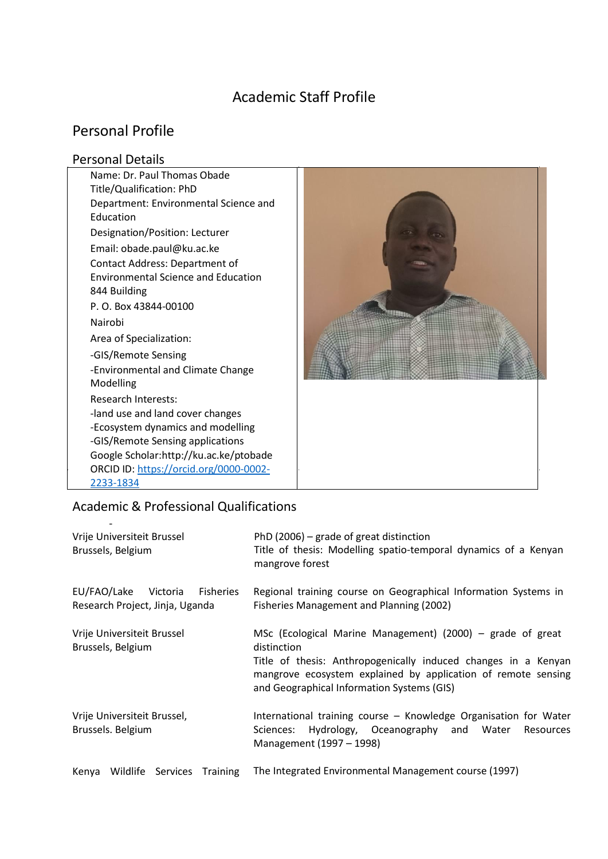# Academic Staff Profile

# Personal Profile

## Personal Details

Name: Dr. Paul Thomas Obade Title/Qualification: PhD Department: Environmental Science and Education Designation/Position: Lecturer Email[: obade.paul@ku.ac.ke](mailto:obade.paul@ku.ac.ke)  Contact Address: Department of Environmental Science and Education 844 Building P. O. Box 43844-00100 Nairobi Area of Specialization: -GIS/Remote Sensing -Environmental and Climate Change Modelling Research Interests: -land use and land cover changes -Ecosystem dynamics and modelling -GIS/Remote Sensing applications Google Scholar:http://ku.ac.ke/ptobade ORCID ID: [https://orcid.org/0000-0002-](https://orcid.org/0000-0002-2233-1834) [2233-1834](https://orcid.org/0000-0002-2233-1834) 



## j Academic & Professional Qualifications

| Vrije Universiteit Brussel<br>Brussels, Belgium                         | PhD (2006) – grade of great distinction<br>Title of thesis: Modelling spatio-temporal dynamics of a Kenyan<br>mangrove forest                                                                                                                              |
|-------------------------------------------------------------------------|------------------------------------------------------------------------------------------------------------------------------------------------------------------------------------------------------------------------------------------------------------|
| EU/FAO/Lake<br>Fisheries<br>Victoria<br>Research Project, Jinja, Uganda | Regional training course on Geographical Information Systems in<br>Fisheries Management and Planning (2002)                                                                                                                                                |
| Vrije Universiteit Brussel<br>Brussels, Belgium                         | MSc (Ecological Marine Management) (2000) – grade of great<br>distinction<br>Title of thesis: Anthropogenically induced changes in a Kenyan<br>mangrove ecosystem explained by application of remote sensing<br>and Geographical Information Systems (GIS) |
| Vrije Universiteit Brussel,<br>Brussels. Belgium                        | International training course - Knowledge Organisation for Water<br>Hydrology, Oceanography and Water<br>Sciences:<br>Resources<br>Management (1997 - 1998)                                                                                                |

Kenya Wildlife Services Training The Integrated Environmental Management course (1997)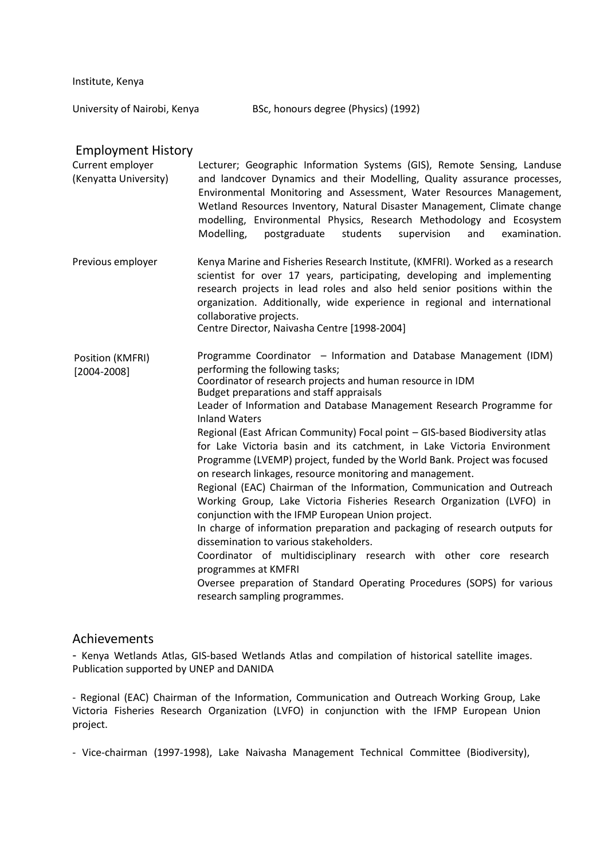Institute, Kenya

University of Nairobi, Kenya BSc, honours degree (Physics) (1992)

#### Employment History

Current employer (Kenyatta University) Lecturer; Geographic Information Systems (GIS), Remote Sensing, Landuse and landcover Dynamics and their Modelling, Quality assurance processes, Environmental Monitoring and Assessment, Water Resources Management, Wetland Resources Inventory, Natural Disaster Management, Climate change modelling, Environmental Physics, Research Methodology and Ecosystem Modelling, postgraduate students supervision and examination.

Previous employer Kenya Marine and Fisheries Research Institute, (KMFRI). Worked as a research scientist for over 17 years, participating, developing and implementing research projects in lead roles and also held senior positions within the organization. Additionally, wide experience in regional and international collaborative projects. Centre Director, Naivasha Centre [1998-2004]

Programme Coordinator – Information and Database Management (IDM) performing the following tasks; Coordinator of research projects and human resource in IDM Budget preparations and staff appraisals Leader of Information and Database Management Research Programme for Inland Waters Regional (East African Community) Focal point – GIS-based Biodiversity atlas for Lake Victoria basin and its catchment, in Lake Victoria Environment Programme (LVEMP) project, funded by the World Bank. Project was focused on research linkages, resource monitoring and management. Regional (EAC) Chairman of the Information, Communication and Outreach Working Group, Lake Victoria Fisheries Research Organization (LVFO) in conjunction with the IFMP European Union project. In charge of information preparation and packaging of research outputs for dissemination to various stakeholders. Coordinator of multidisciplinary research with other core research programmes at KMFRI Oversee preparation of Standard Operating Procedures (SOPS) for various research sampling programmes. Position (KMFRI) [2004-2008]

#### Achievements

- Kenya Wetlands Atlas, GIS-based Wetlands Atlas and compilation of historical satellite images. Publication supported by UNEP and DANIDA

- Regional (EAC) Chairman of the Information, Communication and Outreach Working Group, Lake Victoria Fisheries Research Organization (LVFO) in conjunction with the IFMP European Union project.

- Vice-chairman (1997-1998), Lake Naivasha Management Technical Committee (Biodiversity),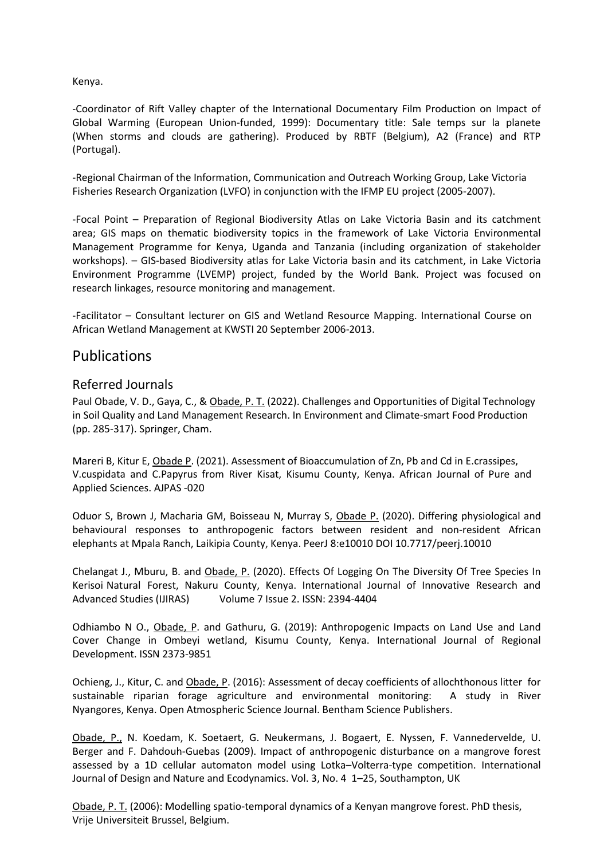Kenya.

-Coordinator of Rift Valley chapter of the International Documentary Film Production on Impact of Global Warming (European Union-funded, 1999): Documentary title: Sale temps sur la planete (When storms and clouds are gathering). Produced by RBTF (Belgium), A2 (France) and RTP (Portugal).

-Regional Chairman of the Information, Communication and Outreach Working Group, Lake Victoria Fisheries Research Organization (LVFO) in conjunction with the IFMP EU project (2005-2007).

-Focal Point – Preparation of Regional Biodiversity Atlas on Lake Victoria Basin and its catchment area; GIS maps on thematic biodiversity topics in the framework of Lake Victoria Environmental Management Programme for Kenya, Uganda and Tanzania (including organization of stakeholder workshops). – GIS-based Biodiversity atlas for Lake Victoria basin and its catchment, in Lake Victoria Environment Programme (LVEMP) project, funded by the World Bank. Project was focused on research linkages, resource monitoring and management.

-Facilitator – Consultant lecturer on GIS and Wetland Resource Mapping. International Course on African Wetland Management at KWSTI 20 September 2006-2013.

## Publications

## Referred Journals

Paul Obade, V. D., Gaya, C., & Obade, P. T. (2022). Challenges and Opportunities of Digital Technology in Soil Quality and Land Management Research. In Environment and Climate-smart Food Production (pp. 285-317). Springer, Cham.

Mareri B, Kitur E, Obade P. (2021). Assessment of Bioaccumulation of Zn, Pb and Cd in E.crassipes, V.cuspidata and C.Papyrus from River Kisat, Kisumu County, Kenya. African Journal of Pure and Applied Sciences. AJPAS -020

Oduor S, Brown J, Macharia GM, Boisseau N, Murray S, Obade P. (2020). Differing physiological and behavioural responses to anthropogenic factors between resident and non-resident African elephants at Mpala Ranch, Laikipia County, Kenya. PeerJ 8:e10010 DOI 10.7717/peerj.10010

Chelangat J., Mburu, B. and Obade, P. (2020). Effects Of Logging On The Diversity Of Tree Species In Kerisoi Natural Forest, Nakuru County, Kenya. International Journal of Innovative Research and Advanced Studies (IJIRAS) Volume 7 Issue 2. ISSN: 2394-4404

Odhiambo N O., Obade, P. and Gathuru, G. (2019): Anthropogenic Impacts on Land Use and Land Cover Change in Ombeyi wetland, Kisumu County, Kenya. International Journal of Regional Development. ISSN 2373-9851

Ochieng, J., Kitur, C. and Obade, P. (2016): Assessment of decay coefficients of allochthonous litter for sustainable riparian forage agriculture and environmental monitoring: A study in River Nyangores, Kenya. Open Atmospheric Science Journal. Bentham Science Publishers.

Obade, P., N. Koedam, K. Soetaert, G. Neukermans, J. Bogaert, E. Nyssen, F. Vannedervelde, U. Berger and F. Dahdouh-Guebas (2009). Impact of anthropogenic disturbance on a mangrove forest assessed by a 1D cellular automaton model using Lotka–Volterra-type competition. International Journal of Design and Nature and Ecodynamics. Vol. 3, No. 4 1–25, Southampton, UK

Obade, P. T. (2006): Modelling spatio-temporal dynamics of a Kenyan mangrove forest. PhD thesis, Vrije Universiteit Brussel, Belgium.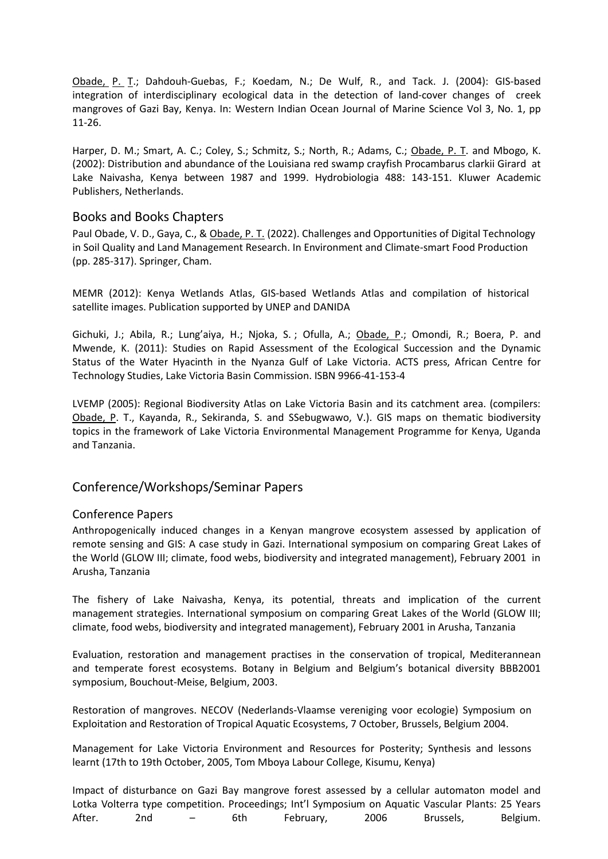Obade, P. T.; Dahdouh-Guebas, F.; Koedam, N.; De Wulf, R., and Tack. J. (2004): GIS-based integration of interdisciplinary ecological data in the detection of land-cover changes of creek mangroves of Gazi Bay, Kenya. In: Western Indian Ocean Journal of Marine Science Vol 3, No. 1, pp 11-26.

Harper, D. M.; Smart, A. C.; Coley, S.; Schmitz, S.; North, R.; Adams, C.; Obade, P. T. and Mbogo, K. (2002): Distribution and abundance of the Louisiana red swamp crayfish Procambarus clarkii Girard at Lake Naivasha, Kenya between 1987 and 1999. Hydrobiologia 488: 143-151. Kluwer Academic Publishers, Netherlands.

#### Books and Books Chapters

Paul Obade, V. D., Gaya, C., & Obade, P. T. (2022). Challenges and Opportunities of Digital Technology in Soil Quality and Land Management Research. In Environment and Climate-smart Food Production (pp. 285-317). Springer, Cham.

MEMR (2012): Kenya Wetlands Atlas, GIS-based Wetlands Atlas and compilation of historical satellite images. Publication supported by UNEP and DANIDA

Gichuki, J.; Abila, R.; Lung'aiya, H.; Njoka, S. ; Ofulla, A.; Obade, P.; Omondi, R.; Boera, P. and Mwende, K. (2011): Studies on Rapid Assessment of the Ecological Succession and the Dynamic Status of the Water Hyacinth in the Nyanza Gulf of Lake Victoria. ACTS press, African Centre for Technology Studies, Lake Victoria Basin Commission. ISBN 9966-41-153-4

LVEMP (2005): Regional Biodiversity Atlas on Lake Victoria Basin and its catchment area. (compilers: Obade, P. T., Kayanda, R., Sekiranda, S. and SSebugwawo, V.). GIS maps on thematic biodiversity topics in the framework of Lake Victoria Environmental Management Programme for Kenya, Uganda and Tanzania.

#### Conference/Workshops/Seminar Papers

#### Conference Papers

Anthropogenically induced changes in a Kenyan mangrove ecosystem assessed by application of remote sensing and GIS: A case study in Gazi. International symposium on comparing Great Lakes of the World (GLOW III; climate, food webs, biodiversity and integrated management), February 2001 in Arusha, Tanzania

The fishery of Lake Naivasha, Kenya, its potential, threats and implication of the current management strategies. International symposium on comparing Great Lakes of the World (GLOW III; climate, food webs, biodiversity and integrated management), February 2001 in Arusha, Tanzania

Evaluation, restoration and management practises in the conservation of tropical, Mediterannean and temperate forest ecosystems. Botany in Belgium and Belgium's botanical diversity BBB2001 symposium, Bouchout-Meise, Belgium, 2003.

Restoration of mangroves. NECOV (Nederlands-Vlaamse vereniging voor ecologie) Symposium on Exploitation and Restoration of Tropical Aquatic Ecosystems, 7 October, Brussels, Belgium 2004.

Management for Lake Victoria Environment and Resources for Posterity; Synthesis and lessons learnt (17th to 19th October, 2005, Tom Mboya Labour College, Kisumu, Kenya)

Impact of disturbance on Gazi Bay mangrove forest assessed by a cellular automaton model and Lotka Volterra type competition. Proceedings; Int'l Symposium on Aquatic Vascular Plants: 25 Years After. 2nd – 6th February, 2006 Brussels, Belgium.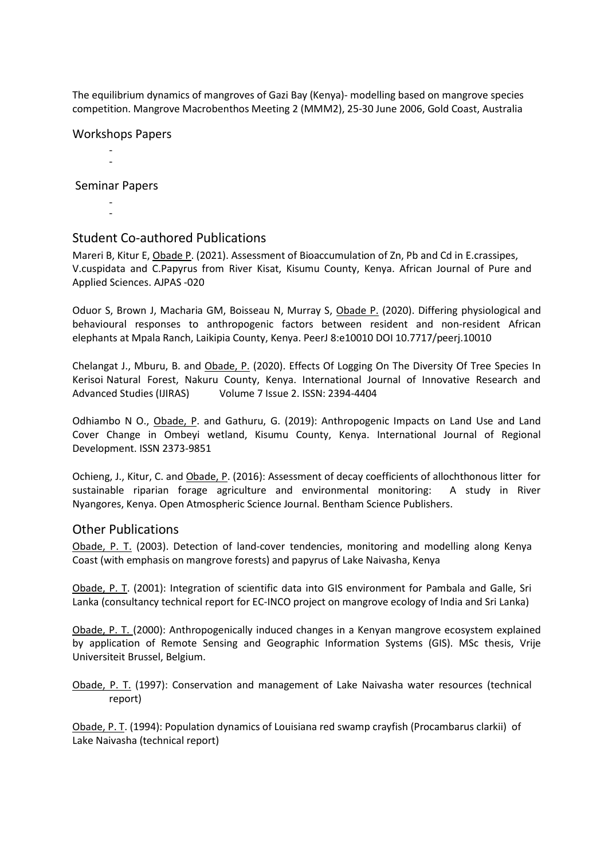The equilibrium dynamics of mangroves of Gazi Bay (Kenya)- modelling based on mangrove species competition. Mangrove Macrobenthos Meeting 2 (MMM2), 25-30 June 2006, Gold Coast, Australia

Workshops Papers

- -

Seminar Papers

- -

#### Student Co-authored Publications

Mareri B, Kitur E, Obade P. (2021). Assessment of Bioaccumulation of Zn, Pb and Cd in E.crassipes, V.cuspidata and C.Papyrus from River Kisat, Kisumu County, Kenya. African Journal of Pure and Applied Sciences. AJPAS -020

Oduor S, Brown J, Macharia GM, Boisseau N, Murray S, Obade P. (2020). Differing physiological and behavioural responses to anthropogenic factors between resident and non-resident African elephants at Mpala Ranch, Laikipia County, Kenya. PeerJ 8:e10010 DOI 10.7717/peerj.10010

Chelangat J., Mburu, B. and Obade, P. (2020). Effects Of Logging On The Diversity Of Tree Species In Kerisoi Natural Forest, Nakuru County, Kenya. International Journal of Innovative Research and Advanced Studies (IJIRAS) Volume 7 Issue 2. ISSN: 2394-4404

Odhiambo N O., Obade, P. and Gathuru, G. (2019): Anthropogenic Impacts on Land Use and Land Cover Change in Ombeyi wetland, Kisumu County, Kenya. International Journal of Regional Development. ISSN 2373-9851

Ochieng, J., Kitur, C. and Obade, P. (2016): Assessment of decay coefficients of allochthonous litter for sustainable riparian forage agriculture and environmental monitoring: A study in River Nyangores, Kenya. Open Atmospheric Science Journal. Bentham Science Publishers.

#### Other Publications

Obade, P. T. (2003). Detection of land-cover tendencies, monitoring and modelling along Kenya Coast (with emphasis on mangrove forests) and papyrus of Lake Naivasha, Kenya

Obade, P. T. (2001): Integration of scientific data into GIS environment for Pambala and Galle, Sri Lanka (consultancy technical report for EC-INCO project on mangrove ecology of India and Sri Lanka)

Obade, P. T. (2000): Anthropogenically induced changes in a Kenyan mangrove ecosystem explained by application of Remote Sensing and Geographic Information Systems (GIS). MSc thesis, Vrije Universiteit Brussel, Belgium.

Obade, P. T. (1997): Conservation and management of Lake Naivasha water resources (technical report)

Obade, P. T. (1994): Population dynamics of Louisiana red swamp crayfish (Procambarus clarkii) of Lake Naivasha (technical report)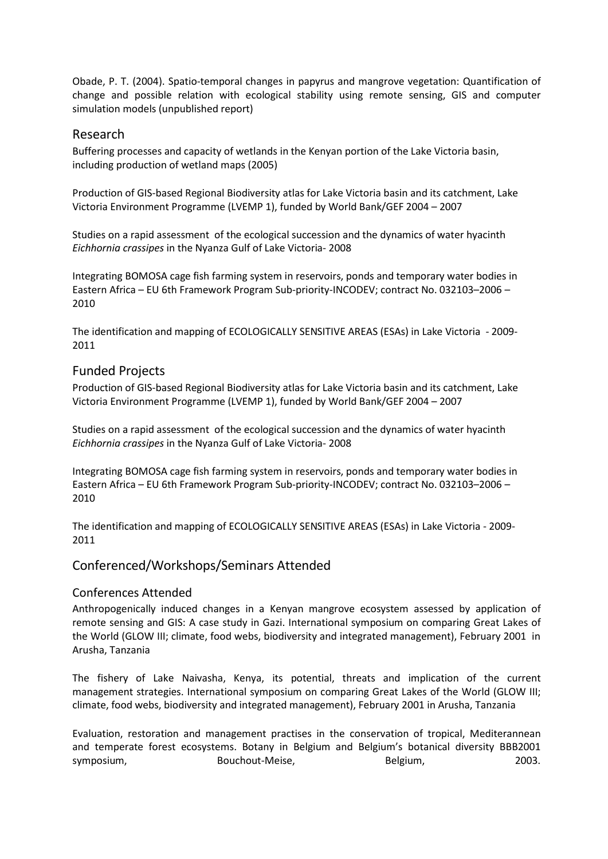Obade, P. T. (2004). Spatio-temporal changes in papyrus and mangrove vegetation: Quantification of change and possible relation with ecological stability using remote sensing, GIS and computer simulation models (unpublished report)

## Research

Buffering processes and capacity of wetlands in the Kenyan portion of the Lake Victoria basin, including production of wetland maps (2005)

Production of GIS-based Regional Biodiversity atlas for Lake Victoria basin and its catchment, Lake Victoria Environment Programme (LVEMP 1), funded by World Bank/GEF 2004 – 2007

Studies on a rapid assessment of the ecological succession and the dynamics of water hyacinth *Eichhornia crassipes* in the Nyanza Gulf of Lake Victoria- 2008

Integrating BOMOSA cage fish farming system in reservoirs, ponds and temporary water bodies in Eastern Africa – EU 6th Framework Program Sub-priority-INCODEV; contract No. 032103–2006 – 2010

The identification and mapping of ECOLOGICALLY SENSITIVE AREAS (ESAs) in Lake Victoria - 2009- 2011

### Funded Projects

Production of GIS-based Regional Biodiversity atlas for Lake Victoria basin and its catchment, Lake Victoria Environment Programme (LVEMP 1), funded by World Bank/GEF 2004 – 2007

Studies on a rapid assessment of the ecological succession and the dynamics of water hyacinth *Eichhornia crassipes* in the Nyanza Gulf of Lake Victoria- 2008

Integrating BOMOSA cage fish farming system in reservoirs, ponds and temporary water bodies in Eastern Africa – EU 6th Framework Program Sub-priority-INCODEV; contract No. 032103–2006 – 2010

The identification and mapping of ECOLOGICALLY SENSITIVE AREAS (ESAs) in Lake Victoria - 2009- 2011

#### Conferenced/Workshops/Seminars Attended

#### Conferences Attended

Anthropogenically induced changes in a Kenyan mangrove ecosystem assessed by application of remote sensing and GIS: A case study in Gazi. International symposium on comparing Great Lakes of the World (GLOW III; climate, food webs, biodiversity and integrated management), February 2001 in Arusha, Tanzania

The fishery of Lake Naivasha, Kenya, its potential, threats and implication of the current management strategies. International symposium on comparing Great Lakes of the World (GLOW III; climate, food webs, biodiversity and integrated management), February 2001 in Arusha, Tanzania

Evaluation, restoration and management practises in the conservation of tropical, Mediterannean and temperate forest ecosystems. Botany in Belgium and Belgium's botanical diversity BBB2001 symposium, Bouchout-Meise, Belgium, 2003.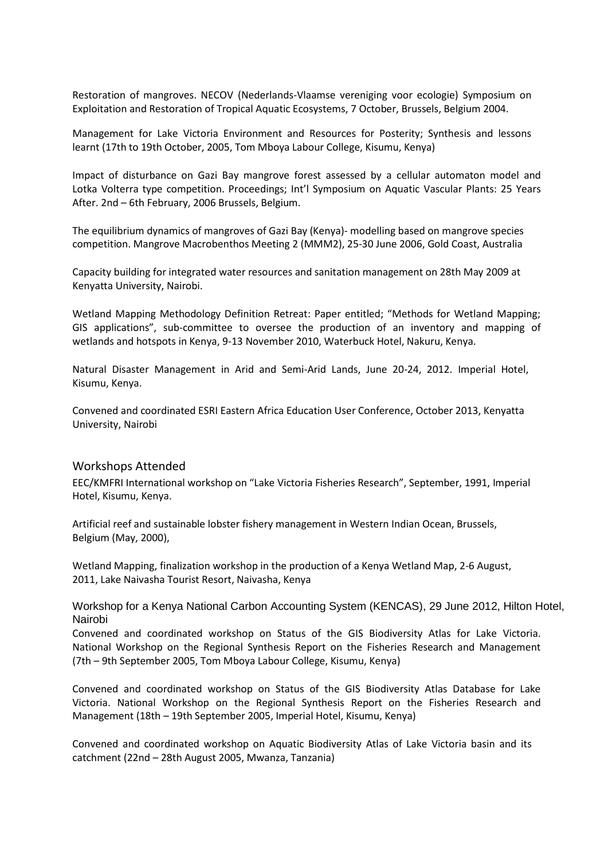Restoration of mangroves. NECOV (Nederlands-Vlaamse vereniging voor ecologie) Symposium on Exploitation and Restoration of Tropical Aquatic Ecosystems, 7 October, Brussels, Belgium 2004.

Management for Lake Victoria Environment and Resources for Posterity; Synthesis and lessons learnt (17th to 19th October, 2005, Tom Mboya Labour College, Kisumu, Kenya)

Impact of disturbance on Gazi Bay mangrove forest assessed by a cellular automaton model and Lotka Volterra type competition. Proceedings; Int'l Symposium on Aquatic Vascular Plants: 25 Years After. 2nd – 6th February, 2006 Brussels, Belgium.

The equilibrium dynamics of mangroves of Gazi Bay (Kenya)- modelling based on mangrove species competition. Mangrove Macrobenthos Meeting 2 (MMM2), 25-30 June 2006, Gold Coast, Australia

Capacity building for integrated water resources and sanitation management on 28th May 2009 at Kenyatta University, Nairobi.

Wetland Mapping Methodology Definition Retreat: Paper entitled; "Methods for Wetland Mapping; GIS applications", sub-committee to oversee the production of an inventory and mapping of wetlands and hotspots in Kenya, 9-13 November 2010, Waterbuck Hotel, Nakuru, Kenya.

Natural Disaster Management in Arid and Semi-Arid Lands, June 20-24, 2012. Imperial Hotel, Kisumu, Kenya.

Convened and coordinated ESRI Eastern Africa Education User Conference, October 2013, Kenyatta University, Nairobi

#### Workshops Attended

EEC/KMFRI International workshop on "Lake Victoria Fisheries Research", September, 1991, Imperial Hotel, Kisumu, Kenya.

Artificial reef and sustainable lobster fishery management in Western Indian Ocean, Brussels, Belgium (May, 2000),

Wetland Mapping, finalization workshop in the production of a Kenya Wetland Map, 2-6 August, 2011, Lake Naivasha Tourist Resort, Naivasha, Kenya

Workshop for a Kenya National Carbon Accounting System (KENCAS), 29 June 2012, Hilton Hotel, Nairobi

Convened and coordinated workshop on Status of the GIS Biodiversity Atlas for Lake Victoria. National Workshop on the Regional Synthesis Report on the Fisheries Research and Management (7th – 9th September 2005, Tom Mboya Labour College, Kisumu, Kenya)

Convened and coordinated workshop on Status of the GIS Biodiversity Atlas Database for Lake Victoria. National Workshop on the Regional Synthesis Report on the Fisheries Research and Management (18th – 19th September 2005, Imperial Hotel, Kisumu, Kenya)

Convened and coordinated workshop on Aquatic Biodiversity Atlas of Lake Victoria basin and its catchment (22nd – 28th August 2005, Mwanza, Tanzania)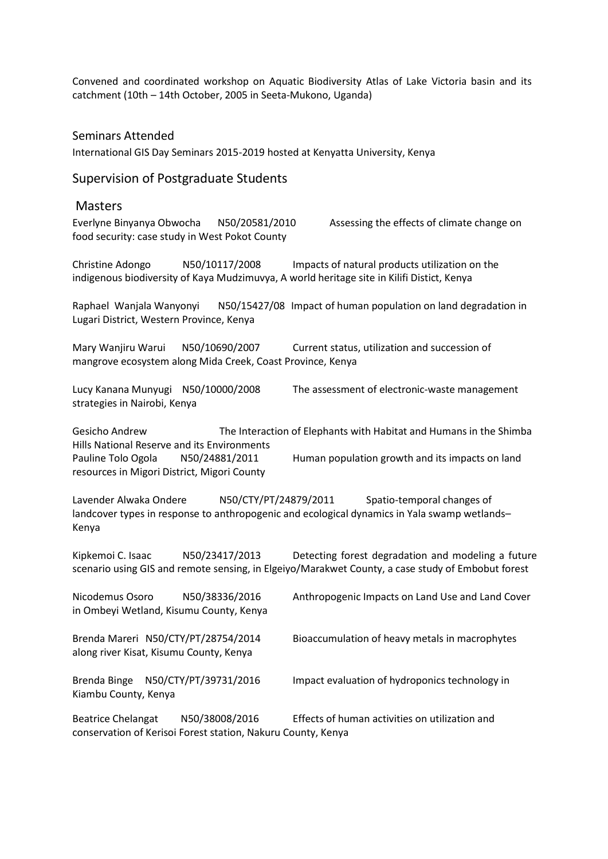Convened and coordinated workshop on Aquatic Biodiversity Atlas of Lake Victoria basin and its catchment (10th – 14th October, 2005 in Seeta-Mukono, Uganda)

#### Seminars Attended

International GIS Day Seminars 2015-2019 hosted at Kenyatta University, Kenya

## Supervision of Postgraduate Students

## Masters

| Everlyne Binyanya Obwocha N50/20581/2010<br>food security: case study in West Pokot County                                                           | Assessing the effects of climate change on                                                                                                              |
|------------------------------------------------------------------------------------------------------------------------------------------------------|---------------------------------------------------------------------------------------------------------------------------------------------------------|
| N50/10117/2008<br>Christine Adongo<br>indigenous biodiversity of Kaya Mudzimuvya, A world heritage site in Kilifi Distict, Kenya                     | Impacts of natural products utilization on the                                                                                                          |
| Raphael Wanjala Wanyonyi<br>Lugari District, Western Province, Kenya                                                                                 | N50/15427/08 Impact of human population on land degradation in                                                                                          |
| N50/10690/2007<br>Mary Wanjiru Warui<br>mangrove ecosystem along Mida Creek, Coast Province, Kenya                                                   | Current status, utilization and succession of                                                                                                           |
| Lucy Kanana Munyugi N50/10000/2008<br>strategies in Nairobi, Kenya                                                                                   | The assessment of electronic-waste management                                                                                                           |
| Gesicho Andrew<br>Hills National Reserve and its Environments<br>Pauline Tolo Ogola<br>N50/24881/2011<br>resources in Migori District, Migori County | The Interaction of Elephants with Habitat and Humans in the Shimba<br>Human population growth and its impacts on land                                   |
| Lavender Alwaka Ondere<br>N50/CTY/PT/24879/2011<br>Kenya                                                                                             | Spatio-temporal changes of<br>landcover types in response to anthropogenic and ecological dynamics in Yala swamp wetlands-                              |
| Kipkemoi C. Isaac<br>N50/23417/2013                                                                                                                  | Detecting forest degradation and modeling a future<br>scenario using GIS and remote sensing, in Elgeiyo/Marakwet County, a case study of Embobut forest |
| Nicodemus Osoro<br>N50/38336/2016<br>in Ombeyi Wetland, Kisumu County, Kenya                                                                         | Anthropogenic Impacts on Land Use and Land Cover                                                                                                        |
| Brenda Mareri N50/CTY/PT/28754/2014<br>along river Kisat, Kisumu County, Kenya                                                                       | Bioaccumulation of heavy metals in macrophytes                                                                                                          |
| N50/CTY/PT/39731/2016<br>Brenda Binge<br>Kiambu County, Kenya                                                                                        | Impact evaluation of hydroponics technology in                                                                                                          |
| N50/38008/2016<br><b>Beatrice Chelangat</b><br>conservation of Kerisoi Forest station, Nakuru County, Kenya                                          | Effects of human activities on utilization and                                                                                                          |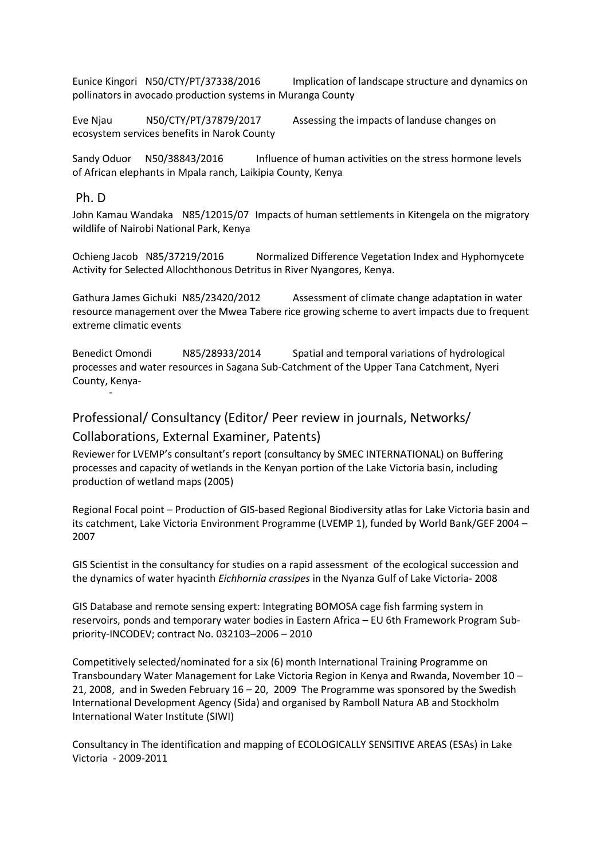Eunice Kingori N50/CTY/PT/37338/2016 Implication of landscape structure and dynamics on pollinators in avocado production systems in Muranga County

Eve Njau N50/CTY/PT/37879/2017 Assessing the impacts of landuse changes on ecosystem services benefits in Narok County

Sandy Oduor N50/38843/2016 Influence of human activities on the stress hormone levels of African elephants in Mpala ranch, Laikipia County, Kenya

#### Ph. D

-

John Kamau Wandaka N85/12015/07 Impacts of human settlements in Kitengela on the migratory wildlife of Nairobi National Park, Kenya

Ochieng Jacob N85/37219/2016 Normalized Difference Vegetation Index and Hyphomycete Activity for Selected Allochthonous Detritus in River Nyangores, Kenya.

Gathura James Gichuki N85/23420/2012 Assessment of climate change adaptation in water resource management over the Mwea Tabere rice growing scheme to avert impacts due to frequent extreme climatic events

Benedict Omondi N85/28933/2014 Spatial and temporal variations of hydrological processes and water resources in Sagana Sub-Catchment of the Upper Tana Catchment, Nyeri County, Kenya-

# Professional/ Consultancy (Editor/ Peer review in journals, Networks/

## Collaborations, External Examiner, Patents)

Reviewer for LVEMP's consultant's report (consultancy by SMEC INTERNATIONAL) on Buffering processes and capacity of wetlands in the Kenyan portion of the Lake Victoria basin, including production of wetland maps (2005)

Regional Focal point – Production of GIS-based Regional Biodiversity atlas for Lake Victoria basin and its catchment, Lake Victoria Environment Programme (LVEMP 1), funded by World Bank/GEF 2004 – 2007

GIS Scientist in the consultancy for studies on a rapid assessment of the ecological succession and the dynamics of water hyacinth *Eichhornia crassipes* in the Nyanza Gulf of Lake Victoria- 2008

GIS Database and remote sensing expert: Integrating BOMOSA cage fish farming system in reservoirs, ponds and temporary water bodies in Eastern Africa – EU 6th Framework Program Subpriority-INCODEV; contract No. 032103–2006 – 2010

Competitively selected/nominated for a six (6) month International Training Programme on Transboundary Water Management for Lake Victoria Region in Kenya and Rwanda, November 10 – 21, 2008, and in Sweden February 16 – 20, 2009 The Programme was sponsored by the Swedish International Development Agency (Sida) and organised by Ramboll Natura AB and Stockholm International Water Institute (SIWI)

Consultancy in The identification and mapping of ECOLOGICALLY SENSITIVE AREAS (ESAs) in Lake Victoria - 2009-2011